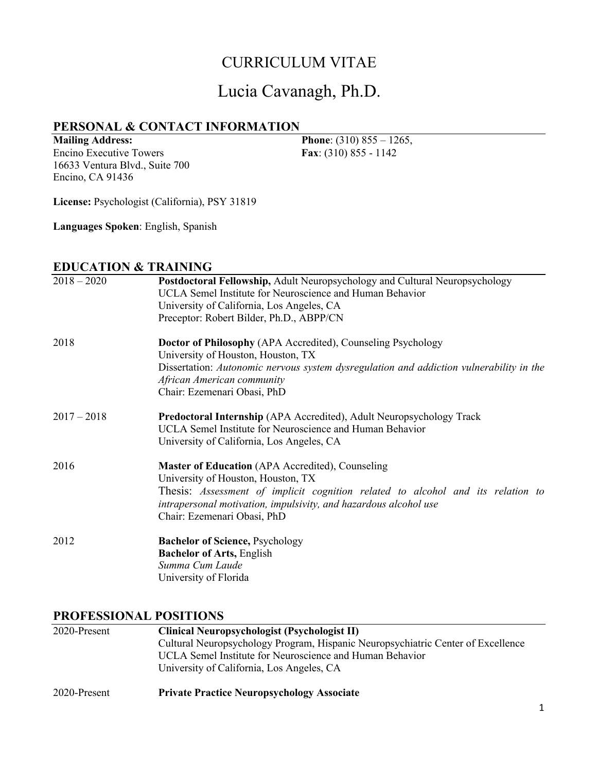## CURRICULUM VITAE

# Lucia Cavanagh, Ph.D.

## **PERSONAL & CONTACT INFORMATION**

**Mailing Address:**  Encino Executive Towers 16633 Ventura Blvd., Suite 700 Encino, CA 91436

**Phone**: (310) 855 – 1265, **Fax**: (310) 855 - 1142

**License:** Psychologist (California), PSY 31819

**Languages Spoken**: English, Spanish

## **EDUCATION & TRAINING**

| $2018 - 2020$ | Postdoctoral Fellowship, Adult Neuropsychology and Cultural Neuropsychology<br>UCLA Semel Institute for Neuroscience and Human Behavior<br>University of California, Los Angeles, CA<br>Preceptor: Robert Bilder, Ph.D., ABPP/CN                                                    |
|---------------|-------------------------------------------------------------------------------------------------------------------------------------------------------------------------------------------------------------------------------------------------------------------------------------|
| 2018          | <b>Doctor of Philosophy (APA Accredited), Counseling Psychology</b><br>University of Houston, Houston, TX<br>Dissertation: Autonomic nervous system dysregulation and addiction vulnerability in the<br>African American community<br>Chair: Ezemenari Obasi, PhD                   |
| $2017 - 2018$ | Predoctoral Internship (APA Accredited), Adult Neuropsychology Track<br>UCLA Semel Institute for Neuroscience and Human Behavior<br>University of California, Los Angeles, CA                                                                                                       |
| 2016          | <b>Master of Education</b> (APA Accredited), Counseling<br>University of Houston, Houston, TX<br>Thesis: Assessment of implicit cognition related to alcohol and its relation to<br>intrapersonal motivation, impulsivity, and hazardous alcohol use<br>Chair: Ezemenari Obasi, PhD |
| 2012          | <b>Bachelor of Science, Psychology</b><br><b>Bachelor of Arts, English</b><br>Summa Cum Laude<br>University of Florida                                                                                                                                                              |

#### **PROFESSIONAL POSITIONS**

| 2020-Present | Clinical Neuropsychologist (Psychologist II)                                     |  |
|--------------|----------------------------------------------------------------------------------|--|
|              | Cultural Neuropsychology Program, Hispanic Neuropsychiatric Center of Excellence |  |
|              | UCLA Semel Institute for Neuroscience and Human Behavior                         |  |
|              | University of California, Los Angeles, CA                                        |  |
| 2020-Present | <b>Private Practice Neuropsychology Associate</b>                                |  |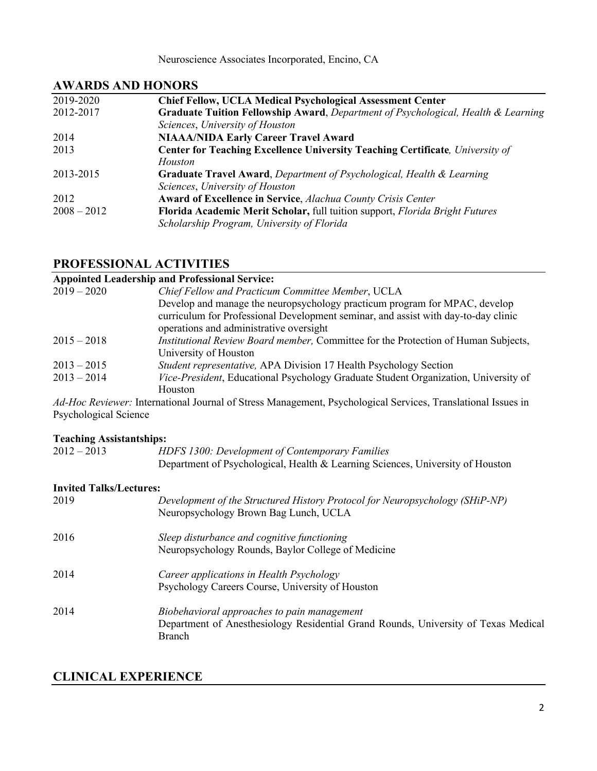## **AWARDS AND HONORS**

| 2019-2020     | <b>Chief Fellow, UCLA Medical Psychological Assessment Center</b>                            |
|---------------|----------------------------------------------------------------------------------------------|
| 2012-2017     | <b>Graduate Tuition Fellowship Award, Department of Psychological, Health &amp; Learning</b> |
|               | Sciences, University of Houston                                                              |
| 2014          | <b>NIAAA/NIDA Early Career Travel Award</b>                                                  |
| 2013          | Center for Teaching Excellence University Teaching Certificate, University of                |
|               | Houston                                                                                      |
| 2013-2015     | Graduate Travel Award, Department of Psychological, Health & Learning                        |
|               | Sciences, University of Houston                                                              |
| 2012          | <b>Award of Excellence in Service, Alachua County Crisis Center</b>                          |
| $2008 - 2012$ | Florida Academic Merit Scholar, full tuition support, Florida Bright Futures                 |
|               | Scholarship Program, University of Florida                                                   |
|               |                                                                                              |

## **PROFESSIONAL ACTIVITIES**

#### **Appointed Leadership and Professional Service:**

| $2019 - 2020$ | Chief Fellow and Practicum Committee Member, UCLA                                   |
|---------------|-------------------------------------------------------------------------------------|
|               | Develop and manage the neuropsychology practicum program for MPAC, develop          |
|               | curriculum for Professional Development seminar, and assist with day-to-day clinic  |
|               | operations and administrative oversight                                             |
| $2015 - 2018$ | Institutional Review Board member, Committee for the Protection of Human Subjects,  |
|               | University of Houston                                                               |
| $2013 - 2015$ | Student representative, APA Division 17 Health Psychology Section                   |
| $2013 - 2014$ | Vice-President, Educational Psychology Graduate Student Organization, University of |
|               | Houston                                                                             |
|               |                                                                                     |

*Ad-Hoc Reviewer:* International Journal of Stress Management, Psychological Services, Translational Issues in Psychological Science

#### **Teaching Assistantships:**

| $2012 - 2013$ | HDFS 1300: Development of Contemporary Families                                |
|---------------|--------------------------------------------------------------------------------|
|               | Department of Psychological, Health & Learning Sciences, University of Houston |

#### **Invited Talks/Lectures:**

| 2019 | Development of the Structured History Protocol for Neuropsychology (SHiP-NP)<br>Neuropsychology Brown Bag Lunch, UCLA |
|------|-----------------------------------------------------------------------------------------------------------------------|
| 2016 | Sleep disturbance and cognitive functioning                                                                           |
|      | Neuropsychology Rounds, Baylor College of Medicine                                                                    |
| 2014 | Career applications in Health Psychology                                                                              |
|      | Psychology Careers Course, University of Houston                                                                      |
| 2014 | Biobehavioral approaches to pain management                                                                           |
|      | Department of Anesthesiology Residential Grand Rounds, University of Texas Medical                                    |
|      | Branch                                                                                                                |

## **CLINICAL EXPERIENCE**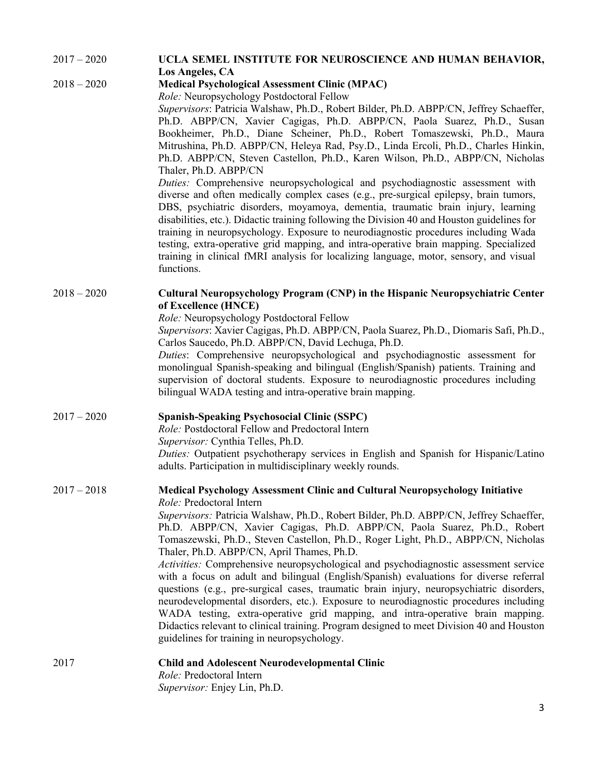| $2017 - 2020$ | UCLA SEMEL INSTITUTE FOR NEUROSCIENCE AND HUMAN BEHAVIOR,<br>Los Angeles, CA                                                                                                                                                                                                                                                                                                                                                                                                                                                                                                                                                                                                                                                                                                                                                                                                                                                                                                                                                                                                                                                                                                                                 |
|---------------|--------------------------------------------------------------------------------------------------------------------------------------------------------------------------------------------------------------------------------------------------------------------------------------------------------------------------------------------------------------------------------------------------------------------------------------------------------------------------------------------------------------------------------------------------------------------------------------------------------------------------------------------------------------------------------------------------------------------------------------------------------------------------------------------------------------------------------------------------------------------------------------------------------------------------------------------------------------------------------------------------------------------------------------------------------------------------------------------------------------------------------------------------------------------------------------------------------------|
| $2018 - 2020$ | <b>Medical Psychological Assessment Clinic (MPAC)</b><br>Role: Neuropsychology Postdoctoral Fellow<br>Supervisors: Patricia Walshaw, Ph.D., Robert Bilder, Ph.D. ABPP/CN, Jeffrey Schaeffer,<br>Ph.D. ABPP/CN, Xavier Cagigas, Ph.D. ABPP/CN, Paola Suarez, Ph.D., Susan<br>Bookheimer, Ph.D., Diane Scheiner, Ph.D., Robert Tomaszewski, Ph.D., Maura<br>Mitrushina, Ph.D. ABPP/CN, Heleya Rad, Psy.D., Linda Ercoli, Ph.D., Charles Hinkin,<br>Ph.D. ABPP/CN, Steven Castellon, Ph.D., Karen Wilson, Ph.D., ABPP/CN, Nicholas<br>Thaler, Ph.D. ABPP/CN<br>Duties: Comprehensive neuropsychological and psychodiagnostic assessment with<br>diverse and often medically complex cases (e.g., pre-surgical epilepsy, brain tumors,<br>DBS, psychiatric disorders, moyamoya, dementia, traumatic brain injury, learning<br>disabilities, etc.). Didactic training following the Division 40 and Houston guidelines for<br>training in neuropsychology. Exposure to neurodiagnostic procedures including Wada<br>testing, extra-operative grid mapping, and intra-operative brain mapping. Specialized<br>training in clinical fMRI analysis for localizing language, motor, sensory, and visual<br>functions. |
| $2018 - 2020$ | <b>Cultural Neuropsychology Program (CNP) in the Hispanic Neuropsychiatric Center</b><br>of Excellence (HNCE)<br>Role: Neuropsychology Postdoctoral Fellow<br>Supervisors: Xavier Cagigas, Ph.D. ABPP/CN, Paola Suarez, Ph.D., Diomaris Safi, Ph.D.,<br>Carlos Saucedo, Ph.D. ABPP/CN, David Lechuga, Ph.D.<br>Duties: Comprehensive neuropsychological and psychodiagnostic assessment for<br>monolingual Spanish-speaking and bilingual (English/Spanish) patients. Training and<br>supervision of doctoral students. Exposure to neurodiagnostic procedures including<br>bilingual WADA testing and intra-operative brain mapping.                                                                                                                                                                                                                                                                                                                                                                                                                                                                                                                                                                        |
| $2017 - 2020$ | <b>Spanish-Speaking Psychosocial Clinic (SSPC)</b><br>Role: Postdoctoral Fellow and Predoctoral Intern<br>Supervisor: Cynthia Telles, Ph.D.<br>Duties: Outpatient psychotherapy services in English and Spanish for Hispanic/Latino<br>adults. Participation in multidisciplinary weekly rounds.                                                                                                                                                                                                                                                                                                                                                                                                                                                                                                                                                                                                                                                                                                                                                                                                                                                                                                             |
| $2017 - 2018$ | Medical Psychology Assessment Clinic and Cultural Neuropsychology Initiative<br>Role: Predoctoral Intern<br>Supervisors: Patricia Walshaw, Ph.D., Robert Bilder, Ph.D. ABPP/CN, Jeffrey Schaeffer,<br>Ph.D. ABPP/CN, Xavier Cagigas, Ph.D. ABPP/CN, Paola Suarez, Ph.D., Robert<br>Tomaszewski, Ph.D., Steven Castellon, Ph.D., Roger Light, Ph.D., ABPP/CN, Nicholas<br>Thaler, Ph.D. ABPP/CN, April Thames, Ph.D.<br>Activities: Comprehensive neuropsychological and psychodiagnostic assessment service<br>with a focus on adult and bilingual (English/Spanish) evaluations for diverse referral<br>questions (e.g., pre-surgical cases, traumatic brain injury, neuropsychiatric disorders,<br>neurodevelopmental disorders, etc.). Exposure to neurodiagnostic procedures including<br>WADA testing, extra-operative grid mapping, and intra-operative brain mapping.<br>Didactics relevant to clinical training. Program designed to meet Division 40 and Houston<br>guidelines for training in neuropsychology.                                                                                                                                                                                     |
| 2017          | <b>Child and Adolescent Neurodevelopmental Clinic</b><br>Role: Predoctoral Intern<br>Supervisor: Enjey Lin, Ph.D.                                                                                                                                                                                                                                                                                                                                                                                                                                                                                                                                                                                                                                                                                                                                                                                                                                                                                                                                                                                                                                                                                            |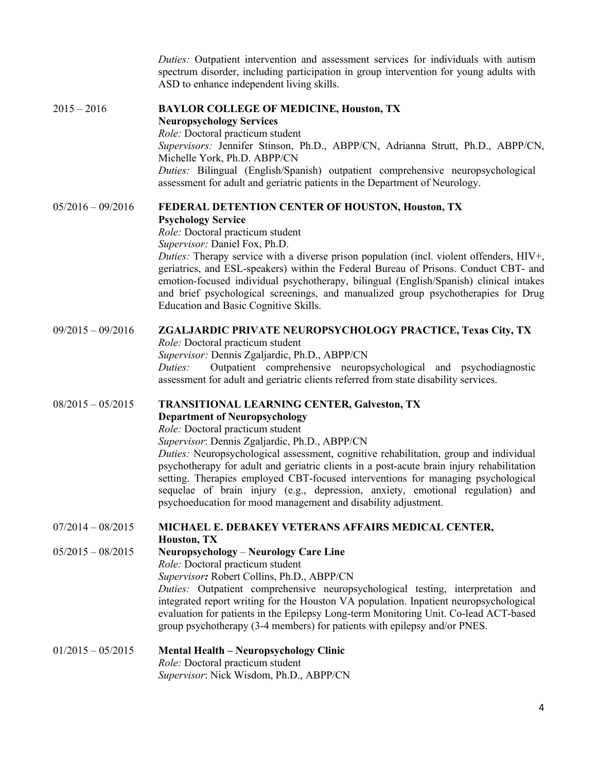|                     | Duties: Outpatient intervention and assessment services for individuals with autism<br>spectrum disorder, including participation in group intervention for young adults with<br>ASD to enhance independent living skills.                                                                                                                                                                                                                                                                                                                                                                                    |
|---------------------|---------------------------------------------------------------------------------------------------------------------------------------------------------------------------------------------------------------------------------------------------------------------------------------------------------------------------------------------------------------------------------------------------------------------------------------------------------------------------------------------------------------------------------------------------------------------------------------------------------------|
| $2015 - 2016$       | <b>BAYLOR COLLEGE OF MEDICINE, Houston, TX</b><br><b>Neuropsychology Services</b><br>Role: Doctoral practicum student<br>Supervisors: Jennifer Stinson, Ph.D., ABPP/CN, Adrianna Strutt, Ph.D., ABPP/CN,<br>Michelle York, Ph.D. ABPP/CN<br>Duties: Bilingual (English/Spanish) outpatient comprehensive neuropsychological<br>assessment for adult and geriatric patients in the Department of Neurology.                                                                                                                                                                                                    |
| $05/2016 - 09/2016$ | FEDERAL DETENTION CENTER OF HOUSTON, Houston, TX<br><b>Psychology Service</b><br>Role: Doctoral practicum student<br>Supervisor: Daniel Fox, Ph.D.<br>Duties: Therapy service with a diverse prison population (incl. violent offenders, HIV+,<br>geriatrics, and ESL-speakers) within the Federal Bureau of Prisons. Conduct CBT- and<br>emotion-focused individual psychotherapy, bilingual (English/Spanish) clinical intakes<br>and brief psychological screenings, and manualized group psychotherapies for Drug<br>Education and Basic Cognitive Skills.                                                |
| $09/2015 - 09/2016$ | <b>ZGALJARDIC PRIVATE NEUROPSYCHOLOGY PRACTICE, Texas City, TX</b><br>Role: Doctoral practicum student<br>Supervisor: Dennis Zgaljardic, Ph.D., ABPP/CN<br>Outpatient comprehensive neuropsychological and psychodiagnostic<br>Duties:<br>assessment for adult and geriatric clients referred from state disability services.                                                                                                                                                                                                                                                                                 |
| $08/2015 - 05/2015$ | <b>TRANSITIONAL LEARNING CENTER, Galveston, TX</b><br><b>Department of Neuropsychology</b><br>Role: Doctoral practicum student<br>Supervisor: Dennis Zgaljardic, Ph.D., ABPP/CN<br>Duties: Neuropsychological assessment, cognitive rehabilitation, group and individual<br>psychotherapy for adult and geriatric clients in a post-acute brain injury rehabilitation<br>setting. Therapies employed CBT-focused interventions for managing psychological<br>sequelae of brain injury (e.g., depression, anxiety, emotional regulation) and<br>psychoeducation for mood management and disability adjustment. |
| $07/2014 - 08/2015$ | MICHAEL E. DEBAKEY VETERANS AFFAIRS MEDICAL CENTER,<br><b>Houston, TX</b>                                                                                                                                                                                                                                                                                                                                                                                                                                                                                                                                     |
| $05/2015 - 08/2015$ | <b>Neuropsychology - Neurology Care Line</b><br>Role: Doctoral practicum student<br>Supervisor: Robert Collins, Ph.D., ABPP/CN<br>Duties: Outpatient comprehensive neuropsychological testing, interpretation and<br>integrated report writing for the Houston VA population. Inpatient neuropsychological<br>evaluation for patients in the Epilepsy Long-term Monitoring Unit. Co-lead ACT-based<br>group psychotherapy (3-4 members) for patients with epilepsy and/or PNES.                                                                                                                               |
| $01/2015 - 05/2015$ | <b>Mental Health - Neuropsychology Clinic</b><br>Role: Doctoral practicum student<br>Supervisor: Nick Wisdom, Ph.D., ABPP/CN                                                                                                                                                                                                                                                                                                                                                                                                                                                                                  |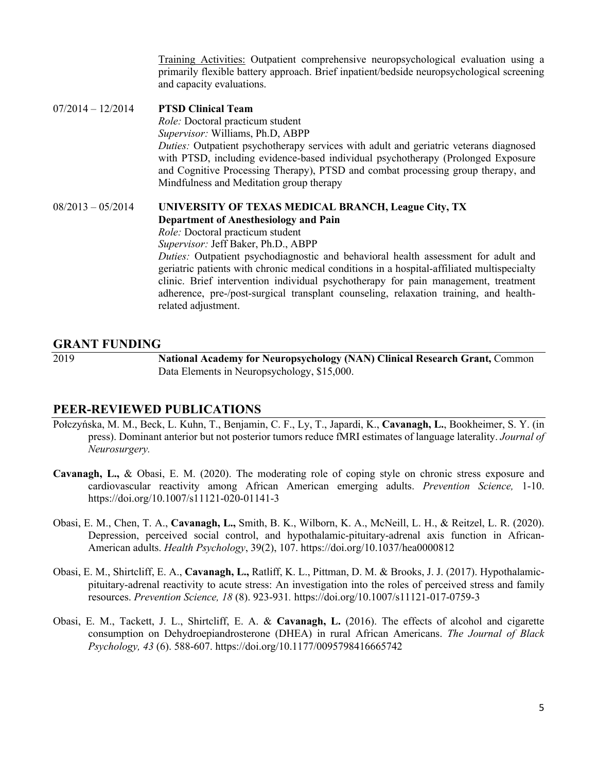Training Activities: Outpatient comprehensive neuropsychological evaluation using a primarily flexible battery approach. Brief inpatient/bedside neuropsychological screening and capacity evaluations.

07/2014 – 12/2014 **PTSD Clinical Team** *Role:* Doctoral practicum student *Supervisor:* Williams, Ph.D, ABPP *Duties:* Outpatient psychotherapy services with adult and geriatric veterans diagnosed with PTSD, including evidence-based individual psychotherapy (Prolonged Exposure and Cognitive Processing Therapy), PTSD and combat processing group therapy, and Mindfulness and Meditation group therapy

08/2013 – 05/2014 **UNIVERSITY OF TEXAS MEDICAL BRANCH, League City, TX Department of Anesthesiology and Pain** *Role:* Doctoral practicum student *Supervisor:* Jeff Baker, Ph.D., ABPP *Duties:* Outpatient psychodiagnostic and behavioral health assessment for adult and geriatric patients with chronic medical conditions in a hospital-affiliated multispecialty clinic. Brief intervention individual psychotherapy for pain management, treatment adherence, pre-/post-surgical transplant counseling, relaxation training, and healthrelated adjustment.

#### **GRANT FUNDING**

2019 **National Academy for Neuropsychology (NAN) Clinical Research Grant,** Common Data Elements in Neuropsychology, \$15,000.

#### **PEER-REVIEWED PUBLICATIONS**

- Połczyńska, M. M., Beck, L. Kuhn, T., Benjamin, C. F., Ly, T., Japardi, K., **Cavanagh, L.**, Bookheimer, S. Y. (in press). Dominant anterior but not posterior tumors reduce fMRI estimates of language laterality. *Journal of Neurosurgery.*
- **Cavanagh, L.,** & Obasi, E. M. (2020). The moderating role of coping style on chronic stress exposure and cardiovascular reactivity among African American emerging adults. *Prevention Science,* 1-10. https://doi.org/10.1007/s11121-020-01141-3
- Obasi, E. M., Chen, T. A., **Cavanagh, L.,** Smith, B. K., Wilborn, K. A., McNeill, L. H., & Reitzel, L. R. (2020). Depression, perceived social control, and hypothalamic-pituitary-adrenal axis function in African-American adults. *Health Psychology*, 39(2), 107. https://doi.org/10.1037/hea0000812
- Obasi, E. M., Shirtcliff, E. A., **Cavanagh, L.,** Ratliff, K. L., Pittman, D. M. & Brooks, J. J. (2017). Hypothalamicpituitary-adrenal reactivity to acute stress: An investigation into the roles of perceived stress and family resources. *Prevention Science, 18* (8). 923-931*.* https://doi.org/10.1007/s11121-017-0759-3
- Obasi, E. M., Tackett, J. L., Shirtcliff, E. A. & **Cavanagh, L.** (2016). The effects of alcohol and cigarette consumption on Dehydroepiandrosterone (DHEA) in rural African Americans. *The Journal of Black Psychology, 43* (6). 588-607. https://doi.org/10.1177/0095798416665742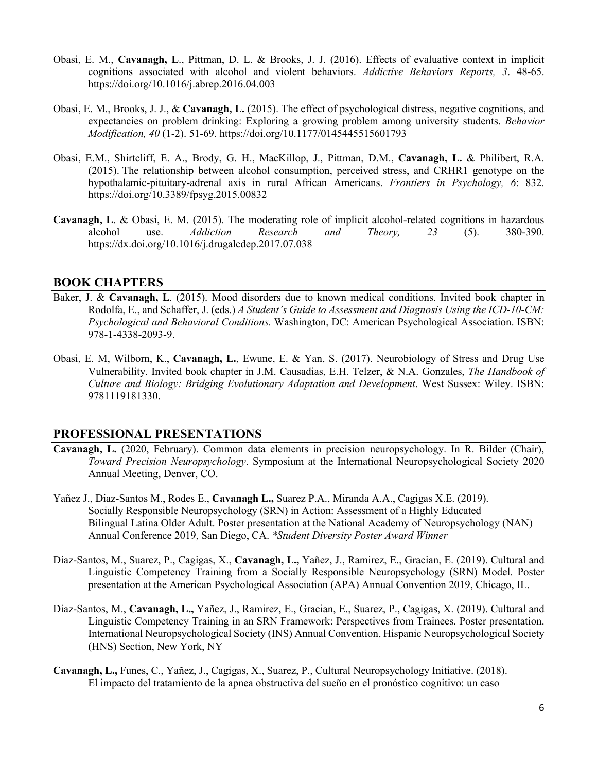- Obasi, E. M., **Cavanagh, L**., Pittman, D. L. & Brooks, J. J. (2016). Effects of evaluative context in implicit cognitions associated with alcohol and violent behaviors. *Addictive Behaviors Reports, 3*. 48-65. https://doi.org/10.1016/j.abrep.2016.04.003
- Obasi, E. M., Brooks, J. J., & **Cavanagh, L.** (2015). The effect of psychological distress, negative cognitions, and expectancies on problem drinking: Exploring a growing problem among university students. *Behavior Modification, 40* (1-2). 51-69. https://doi.org/10.1177/0145445515601793
- Obasi, E.M., Shirtcliff, E. A., Brody, G. H., MacKillop, J., Pittman, D.M., **Cavanagh, L.** & Philibert, R.A. (2015). The relationship between alcohol consumption, perceived stress, and CRHR1 genotype on the hypothalamic-pituitary-adrenal axis in rural African Americans. *Frontiers in Psychology, 6*: 832. https://doi.org/10.3389/fpsyg.2015.00832
- **Cavanagh, L**. & Obasi, E. M. (2015). The moderating role of implicit alcohol-related cognitions in hazardous alcohol use. *Addiction Research and Theory, 23* (5). 380-390. https://dx.doi.org/10.1016/j.drugalcdep.2017.07.038

#### **BOOK CHAPTERS**

- Baker, J. & **Cavanagh, L**. (2015). Mood disorders due to known medical conditions. Invited book chapter in Rodolfa, E., and Schaffer, J. (eds.) *A Student's Guide to Assessment and Diagnosis Using the ICD-10-CM: Psychological and Behavioral Conditions.* Washington, DC: American Psychological Association. ISBN: 978-1-4338-2093-9.
- Obasi, E. M, Wilborn, K., **Cavanagh, L.**, Ewune, E. & Yan, S. (2017). Neurobiology of Stress and Drug Use Vulnerability. Invited book chapter in J.M. Causadias, E.H. Telzer, & N.A. Gonzales, *The Handbook of Culture and Biology: Bridging Evolutionary Adaptation and Development*. West Sussex: Wiley. ISBN: 9781119181330.

#### **PROFESSIONAL PRESENTATIONS**

- **Cavanagh, L.** (2020, February). Common data elements in precision neuropsychology. In R. Bilder (Chair), *Toward Precision Neuropsychology*. Symposium at the International Neuropsychological Society 2020 Annual Meeting, Denver, CO.
- Yañez J., Diaz-Santos M., Rodes E., **Cavanagh L.,** Suarez P.A., Miranda A.A., Cagigas X.E. (2019). Socially Responsible Neuropsychology (SRN) in Action: Assessment of a Highly Educated Bilingual Latina Older Adult. Poster presentation at the National Academy of Neuropsychology (NAN) Annual Conference 2019, San Diego, CA. *\*Student Diversity Poster Award Winner*
- Díaz-Santos, M., Suarez, P., Cagigas, X., **Cavanagh, L.,** Yañez, J., Ramirez, E., Gracian, E. (2019). Cultural and Linguistic Competency Training from a Socially Responsible Neuropsychology (SRN) Model. Poster presentation at the American Psychological Association (APA) Annual Convention 2019, Chicago, IL.
- Díaz-Santos, M., **Cavanagh, L.,** Yañez, J., Ramirez, E., Gracian, E., Suarez, P., Cagigas, X. (2019). Cultural and Linguistic Competency Training in an SRN Framework: Perspectives from Trainees. Poster presentation. International Neuropsychological Society (INS) Annual Convention, Hispanic Neuropsychological Society (HNS) Section, New York, NY
- **Cavanagh, L.,** Funes, C., Yañez, J., Cagigas, X., Suarez, P., Cultural Neuropsychology Initiative. (2018). El impacto del tratamiento de la apnea obstructiva del sueño en el pronóstico cognitivo: un caso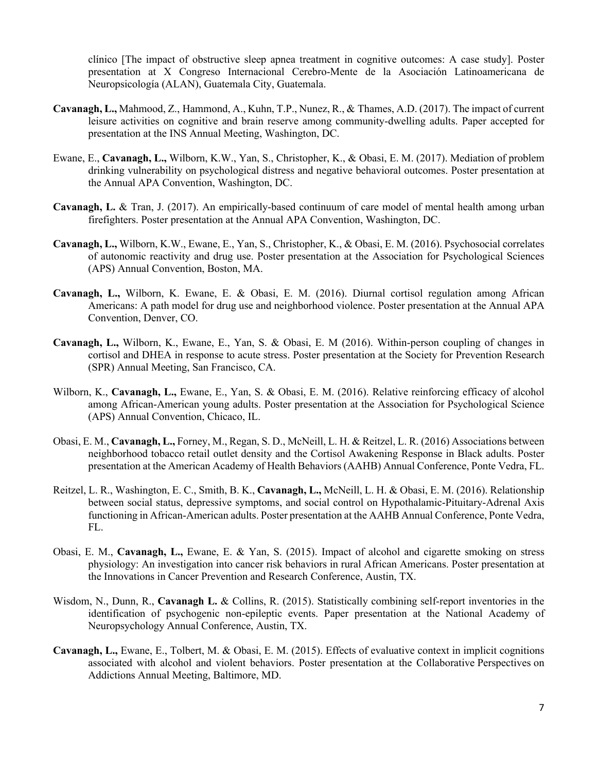clínico [The impact of obstructive sleep apnea treatment in cognitive outcomes: A case study]. Poster presentation at X Congreso Internacional Cerebro-Mente de la Asociación Latinoamericana de Neuropsicología (ALAN), Guatemala City, Guatemala.

- **Cavanagh, L.,** Mahmood, Z., Hammond, A., Kuhn, T.P., Nunez, R., & Thames, A.D. (2017). The impact of current leisure activities on cognitive and brain reserve among community-dwelling adults. Paper accepted for presentation at the INS Annual Meeting, Washington, DC.
- Ewane, E., **Cavanagh, L.,** Wilborn, K.W., Yan, S., Christopher, K., & Obasi, E. M. (2017). Mediation of problem drinking vulnerability on psychological distress and negative behavioral outcomes. Poster presentation at the Annual APA Convention, Washington, DC.
- **Cavanagh, L.** & Tran, J. (2017). An empirically-based continuum of care model of mental health among urban firefighters. Poster presentation at the Annual APA Convention, Washington, DC.
- **Cavanagh, L.,** Wilborn, K.W., Ewane, E., Yan, S., Christopher, K., & Obasi, E. M. (2016). Psychosocial correlates of autonomic reactivity and drug use. Poster presentation at the Association for Psychological Sciences (APS) Annual Convention, Boston, MA.
- **Cavanagh, L.,** Wilborn, K. Ewane, E. & Obasi, E. M. (2016). Diurnal cortisol regulation among African Americans: A path model for drug use and neighborhood violence. Poster presentation at the Annual APA Convention, Denver, CO.
- **Cavanagh, L.,** Wilborn, K., Ewane, E., Yan, S. & Obasi, E. M (2016). Within-person coupling of changes in cortisol and DHEA in response to acute stress. Poster presentation at the Society for Prevention Research (SPR) Annual Meeting, San Francisco, CA.
- Wilborn, K., **Cavanagh, L.,** Ewane, E., Yan, S. & Obasi, E. M. (2016). Relative reinforcing efficacy of alcohol among African-American young adults. Poster presentation at the Association for Psychological Science (APS) Annual Convention, Chicaco, IL.
- Obasi, E. M., **Cavanagh, L.,** Forney, M., Regan, S. D., McNeill, L. H. & Reitzel, L. R. (2016) Associations between neighborhood tobacco retail outlet density and the Cortisol Awakening Response in Black adults. Poster presentation at the American Academy of Health Behaviors (AAHB) Annual Conference, Ponte Vedra, FL.
- Reitzel, L. R., Washington, E. C., Smith, B. K., **Cavanagh, L.,** McNeill, L. H. & Obasi, E. M. (2016). Relationship between social status, depressive symptoms, and social control on Hypothalamic-Pituitary-Adrenal Axis functioning in African-American adults. Poster presentation at the AAHB Annual Conference, Ponte Vedra, FL.
- Obasi, E. M., **Cavanagh, L.,** Ewane, E. & Yan, S. (2015). Impact of alcohol and cigarette smoking on stress physiology: An investigation into cancer risk behaviors in rural African Americans. Poster presentation at the Innovations in Cancer Prevention and Research Conference, Austin, TX.
- Wisdom, N., Dunn, R., **Cavanagh L.** & Collins, R. (2015). Statistically combining self-report inventories in the identification of psychogenic non-epileptic events. Paper presentation at the National Academy of Neuropsychology Annual Conference, Austin, TX.
- **Cavanagh, L.,** Ewane, E., Tolbert, M. & Obasi, E. M. (2015). Effects of evaluative context in implicit cognitions associated with alcohol and violent behaviors. Poster presentation at the Collaborative Perspectives on Addictions Annual Meeting, Baltimore, MD.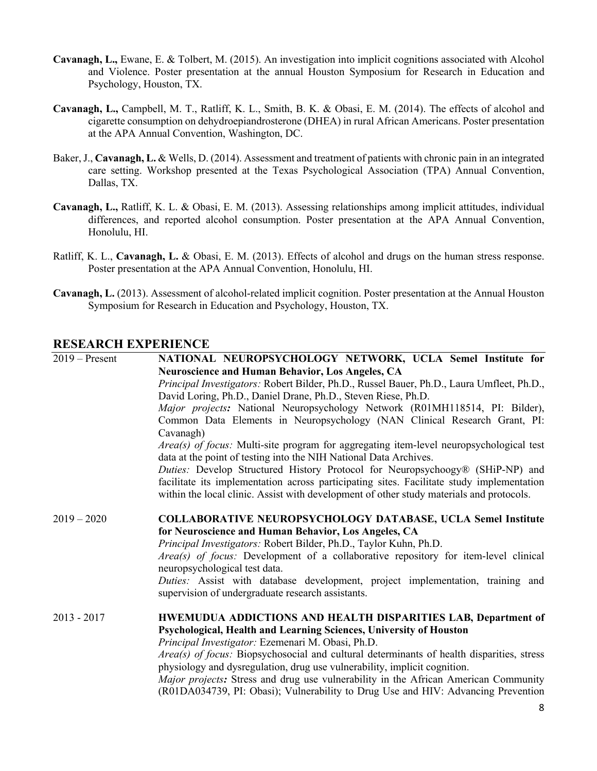- **Cavanagh, L.,** Ewane, E. & Tolbert, M. (2015). An investigation into implicit cognitions associated with Alcohol and Violence. Poster presentation at the annual Houston Symposium for Research in Education and Psychology, Houston, TX.
- **Cavanagh, L.,** Campbell, M. T., Ratliff, K. L., Smith, B. K. & Obasi, E. M. (2014). The effects of alcohol and cigarette consumption on dehydroepiandrosterone (DHEA) in rural African Americans. Poster presentation at the APA Annual Convention, Washington, DC.
- Baker, J., **Cavanagh, L.** & Wells, D. (2014). Assessment and treatment of patients with chronic pain in an integrated care setting. Workshop presented at the Texas Psychological Association (TPA) Annual Convention, Dallas, TX.
- **Cavanagh, L.,** Ratliff, K. L. & Obasi, E. M. (2013). Assessing relationships among implicit attitudes, individual differences, and reported alcohol consumption. Poster presentation at the APA Annual Convention, Honolulu, HI.
- Ratliff, K. L., **Cavanagh, L.** & Obasi, E. M. (2013). Effects of alcohol and drugs on the human stress response. Poster presentation at the APA Annual Convention, Honolulu, HI.
- **Cavanagh, L.** (2013). Assessment of alcohol-related implicit cognition. Poster presentation at the Annual Houston Symposium for Research in Education and Psychology, Houston, TX.

### **RESEARCH EXPERIENCE**

2019 – Present **NATIONAL NEUROPSYCHOLOGY NETWORK, UCLA Semel Institute for Neuroscience and Human Behavior, Los Angeles, CA** *Principal Investigators:* Robert Bilder, Ph.D., Russel Bauer, Ph.D., Laura Umfleet, Ph.D., David Loring, Ph.D., Daniel Drane, Ph.D., Steven Riese, Ph.D. *Major projects:* National Neuropsychology Network (R01MH118514, PI: Bilder), Common Data Elements in Neuropsychology (NAN Clinical Research Grant, PI: Cavanagh) *Area(s) of focus:* Multi-site program for aggregating item-level neuropsychological test data at the point of testing into the NIH National Data Archives. *Duties:* Develop Structured History Protocol for Neuropsychoogy® (SHiP-NP) and facilitate its implementation across participating sites. Facilitate study implementation within the local clinic. Assist with development of other study materials and protocols. 2019 – 2020 **COLLABORATIVE NEUROPSYCHOLOGY DATABASE, UCLA Semel Institute for Neuroscience and Human Behavior, Los Angeles, CA** *Principal Investigators:* Robert Bilder, Ph.D., Taylor Kuhn, Ph.D. *Area(s) of focus:* Development of a collaborative repository for item-level clinical neuropsychological test data. *Duties:* Assist with database development, project implementation, training and supervision of undergraduate research assistants. 2013 - 2017 **HWEMUDUA ADDICTIONS AND HEALTH DISPARITIES LAB, Department of Psychological, Health and Learning Sciences, University of Houston** *Principal Investigator:* Ezemenari M. Obasi, Ph.D. *Area(s) of focus:* Biopsychosocial and cultural determinants of health disparities, stress physiology and dysregulation, drug use vulnerability, implicit cognition. *Major projects:* Stress and drug use vulnerability in the African American Community (R01DA034739, PI: Obasi); Vulnerability to Drug Use and HIV: Advancing Prevention